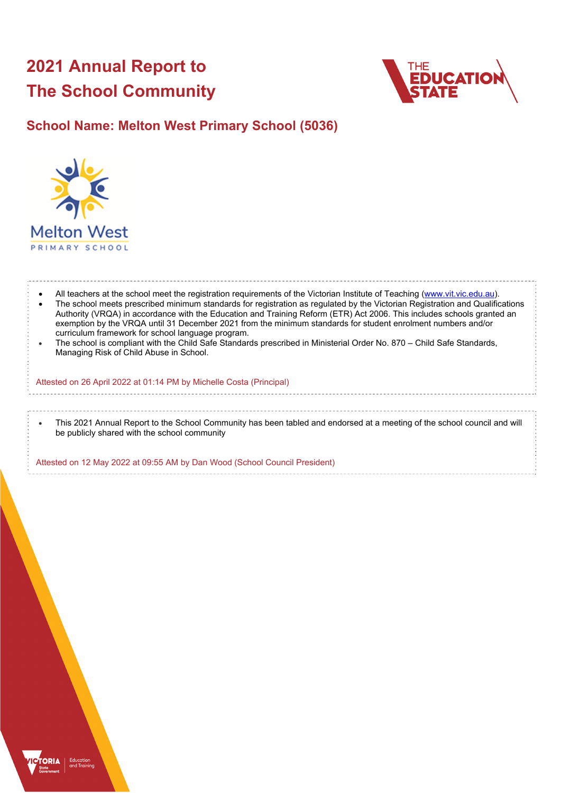# **2021 Annual Report to The School Community**



**School Name: Melton West Primary School (5036)**



 All teachers at the school meet the registration requirements of the Victorian Institute of Teaching (www.vit.vic.edu.au). The school meets prescribed minimum standards for registration as regulated by the Victorian Registration and Qualifications Authority (VRQA) in accordance with the Education and Training Reform (ETR) Act 2006. This includes schools granted an exemption by the VRQA until 31 December 2021 from the minimum standards for student enrolment numbers and/or curriculum framework for school language program. The school is compliant with the Child Safe Standards prescribed in Ministerial Order No. 870 – Child Safe Standards,

Managing Risk of Child Abuse in School.

Attested on 26 April 2022 at 01:14 PM by Michelle Costa (Principal)

 This 2021 Annual Report to the School Community has been tabled and endorsed at a meeting of the school council and will be publicly shared with the school community

Attested on 12 May 2022 at 09:55 AM by Dan Wood (School Council President)

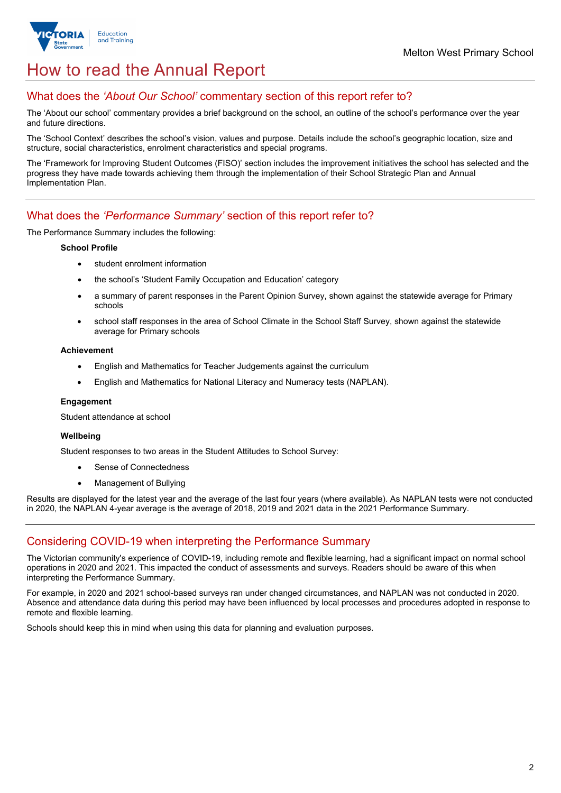# How to read the Annual Report

### What does the *'About Our School'* commentary section of this report refer to?

The 'About our school' commentary provides a brief background on the school, an outline of the school's performance over the year and future directions.

The 'School Context' describes the school's vision, values and purpose. Details include the school's geographic location, size and structure, social characteristics, enrolment characteristics and special programs.

The 'Framework for Improving Student Outcomes (FISO)' section includes the improvement initiatives the school has selected and the progress they have made towards achieving them through the implementation of their School Strategic Plan and Annual Implementation Plan.

### What does the *'Performance Summary'* section of this report refer to?

The Performance Summary includes the following:

#### **School Profile**

- student enrolment information
- the school's 'Student Family Occupation and Education' category
- a summary of parent responses in the Parent Opinion Survey, shown against the statewide average for Primary schools
- school staff responses in the area of School Climate in the School Staff Survey, shown against the statewide average for Primary schools

#### **Achievement**

- English and Mathematics for Teacher Judgements against the curriculum
- English and Mathematics for National Literacy and Numeracy tests (NAPLAN).

#### **Engagement**

Student attendance at school

#### **Wellbeing**

Student responses to two areas in the Student Attitudes to School Survey:

- Sense of Connectedness
- Management of Bullying

Results are displayed for the latest year and the average of the last four years (where available). As NAPLAN tests were not conducted in 2020, the NAPLAN 4-year average is the average of 2018, 2019 and 2021 data in the 2021 Performance Summary.

## Considering COVID-19 when interpreting the Performance Summary

The Victorian community's experience of COVID-19, including remote and flexible learning, had a significant impact on normal school operations in 2020 and 2021. This impacted the conduct of assessments and surveys. Readers should be aware of this when interpreting the Performance Summary.

For example, in 2020 and 2021 school-based surveys ran under changed circumstances, and NAPLAN was not conducted in 2020. Absence and attendance data during this period may have been influenced by local processes and procedures adopted in response to remote and flexible learning.

Schools should keep this in mind when using this data for planning and evaluation purposes.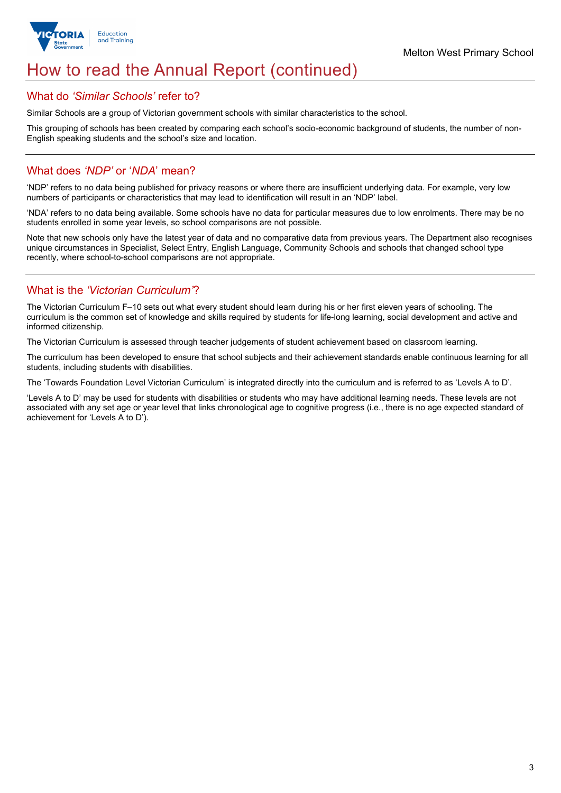

# How to read the Annual Report (continued)

### What do *'Similar Schools'* refer to?

Similar Schools are a group of Victorian government schools with similar characteristics to the school.

This grouping of schools has been created by comparing each school's socio-economic background of students, the number of non-English speaking students and the school's size and location.

### What does *'NDP'* or '*NDA*' mean?

'NDP' refers to no data being published for privacy reasons or where there are insufficient underlying data. For example, very low numbers of participants or characteristics that may lead to identification will result in an 'NDP' label.

'NDA' refers to no data being available. Some schools have no data for particular measures due to low enrolments. There may be no students enrolled in some year levels, so school comparisons are not possible.

Note that new schools only have the latest year of data and no comparative data from previous years. The Department also recognises unique circumstances in Specialist, Select Entry, English Language, Community Schools and schools that changed school type recently, where school-to-school comparisons are not appropriate.

## What is the *'Victorian Curriculum'*?

The Victorian Curriculum F–10 sets out what every student should learn during his or her first eleven years of schooling. The curriculum is the common set of knowledge and skills required by students for life-long learning, social development and active and informed citizenship.

The Victorian Curriculum is assessed through teacher judgements of student achievement based on classroom learning.

The curriculum has been developed to ensure that school subjects and their achievement standards enable continuous learning for all students, including students with disabilities.

The 'Towards Foundation Level Victorian Curriculum' is integrated directly into the curriculum and is referred to as 'Levels A to D'.

'Levels A to D' may be used for students with disabilities or students who may have additional learning needs. These levels are not associated with any set age or year level that links chronological age to cognitive progress (i.e., there is no age expected standard of achievement for 'Levels A to D').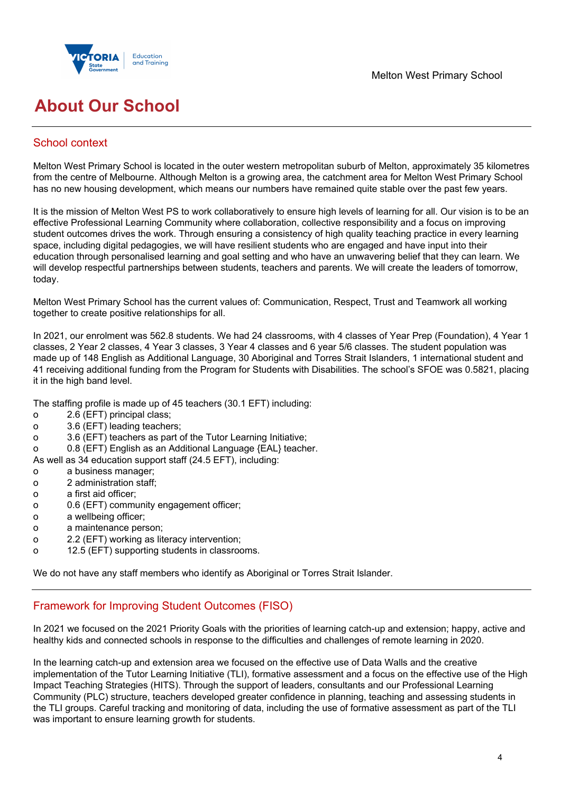

# **About Our School**

## School context

Melton West Primary School is located in the outer western metropolitan suburb of Melton, approximately 35 kilometres from the centre of Melbourne. Although Melton is a growing area, the catchment area for Melton West Primary School has no new housing development, which means our numbers have remained quite stable over the past few years.

It is the mission of Melton West PS to work collaboratively to ensure high levels of learning for all. Our vision is to be an effective Professional Learning Community where collaboration, collective responsibility and a focus on improving student outcomes drives the work. Through ensuring a consistency of high quality teaching practice in every learning space, including digital pedagogies, we will have resilient students who are engaged and have input into their education through personalised learning and goal setting and who have an unwavering belief that they can learn. We will develop respectful partnerships between students, teachers and parents. We will create the leaders of tomorrow, today.

Melton West Primary School has the current values of: Communication, Respect, Trust and Teamwork all working together to create positive relationships for all.

In 2021, our enrolment was 562.8 students. We had 24 classrooms, with 4 classes of Year Prep (Foundation), 4 Year 1 classes, 2 Year 2 classes, 4 Year 3 classes, 3 Year 4 classes and 6 year 5/6 classes. The student population was made up of 148 English as Additional Language, 30 Aboriginal and Torres Strait Islanders, 1 international student and 41 receiving additional funding from the Program for Students with Disabilities. The school's SFOE was 0.5821, placing it in the high band level.

The staffing profile is made up of 45 teachers (30.1 EFT) including:

- o 2.6 (EFT) principal class;
- o 3.6 (EFT) leading teachers;
- o 3.6 (EFT) teachers as part of the Tutor Learning Initiative;
- o 0.8 (EFT) English as an Additional Language {EAL} teacher.

As well as 34 education support staff (24.5 EFT), including:

- o a business manager;
- o 2 administration staff;
- o a first aid officer;
- o 0.6 (EFT) community engagement officer;
- o a wellbeing officer;
- o a maintenance person;
- o 2.2 (EFT) working as literacy intervention;
- o 12.5 (EFT) supporting students in classrooms.

We do not have any staff members who identify as Aboriginal or Torres Strait Islander.

## Framework for Improving Student Outcomes (FISO)

In 2021 we focused on the 2021 Priority Goals with the priorities of learning catch-up and extension; happy, active and healthy kids and connected schools in response to the difficulties and challenges of remote learning in 2020.

In the learning catch-up and extension area we focused on the effective use of Data Walls and the creative implementation of the Tutor Learning Initiative (TLI), formative assessment and a focus on the effective use of the High Impact Teaching Strategies (HITS). Through the support of leaders, consultants and our Professional Learning Community (PLC) structure, teachers developed greater confidence in planning, teaching and assessing students in the TLI groups. Careful tracking and monitoring of data, including the use of formative assessment as part of the TLI was important to ensure learning growth for students.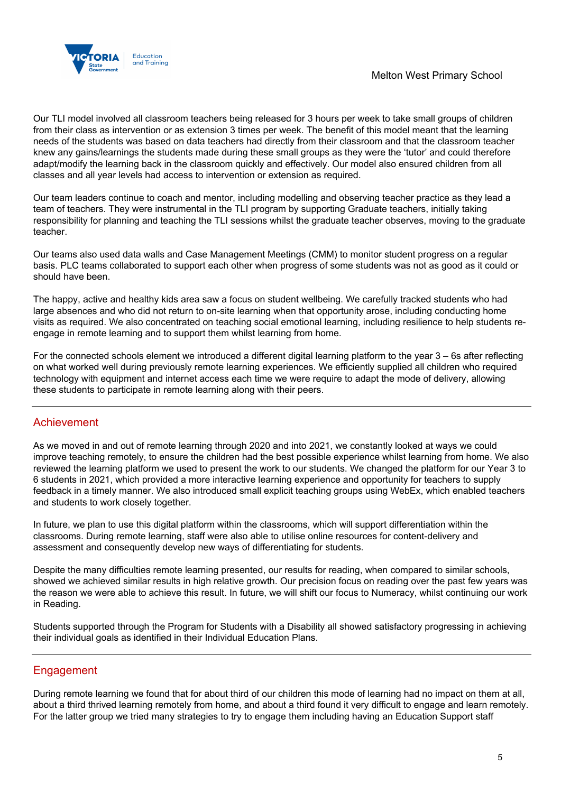

Our TLI model involved all classroom teachers being released for 3 hours per week to take small groups of children from their class as intervention or as extension 3 times per week. The benefit of this model meant that the learning needs of the students was based on data teachers had directly from their classroom and that the classroom teacher knew any gains/learnings the students made during these small groups as they were the 'tutor' and could therefore adapt/modify the learning back in the classroom quickly and effectively. Our model also ensured children from all classes and all year levels had access to intervention or extension as required.

Our team leaders continue to coach and mentor, including modelling and observing teacher practice as they lead a team of teachers. They were instrumental in the TLI program by supporting Graduate teachers, initially taking responsibility for planning and teaching the TLI sessions whilst the graduate teacher observes, moving to the graduate teacher.

Our teams also used data walls and Case Management Meetings (CMM) to monitor student progress on a regular basis. PLC teams collaborated to support each other when progress of some students was not as good as it could or should have been.

The happy, active and healthy kids area saw a focus on student wellbeing. We carefully tracked students who had large absences and who did not return to on-site learning when that opportunity arose, including conducting home visits as required. We also concentrated on teaching social emotional learning, including resilience to help students reengage in remote learning and to support them whilst learning from home.

For the connected schools element we introduced a different digital learning platform to the year 3 – 6s after reflecting on what worked well during previously remote learning experiences. We efficiently supplied all children who required technology with equipment and internet access each time we were require to adapt the mode of delivery, allowing these students to participate in remote learning along with their peers.

## Achievement

As we moved in and out of remote learning through 2020 and into 2021, we constantly looked at ways we could improve teaching remotely, to ensure the children had the best possible experience whilst learning from home. We also reviewed the learning platform we used to present the work to our students. We changed the platform for our Year 3 to 6 students in 2021, which provided a more interactive learning experience and opportunity for teachers to supply feedback in a timely manner. We also introduced small explicit teaching groups using WebEx, which enabled teachers and students to work closely together.

In future, we plan to use this digital platform within the classrooms, which will support differentiation within the classrooms. During remote learning, staff were also able to utilise online resources for content-delivery and assessment and consequently develop new ways of differentiating for students.

Despite the many difficulties remote learning presented, our results for reading, when compared to similar schools, showed we achieved similar results in high relative growth. Our precision focus on reading over the past few years was the reason we were able to achieve this result. In future, we will shift our focus to Numeracy, whilst continuing our work in Reading.

Students supported through the Program for Students with a Disability all showed satisfactory progressing in achieving their individual goals as identified in their Individual Education Plans.

### Engagement

During remote learning we found that for about third of our children this mode of learning had no impact on them at all, about a third thrived learning remotely from home, and about a third found it very difficult to engage and learn remotely. For the latter group we tried many strategies to try to engage them including having an Education Support staff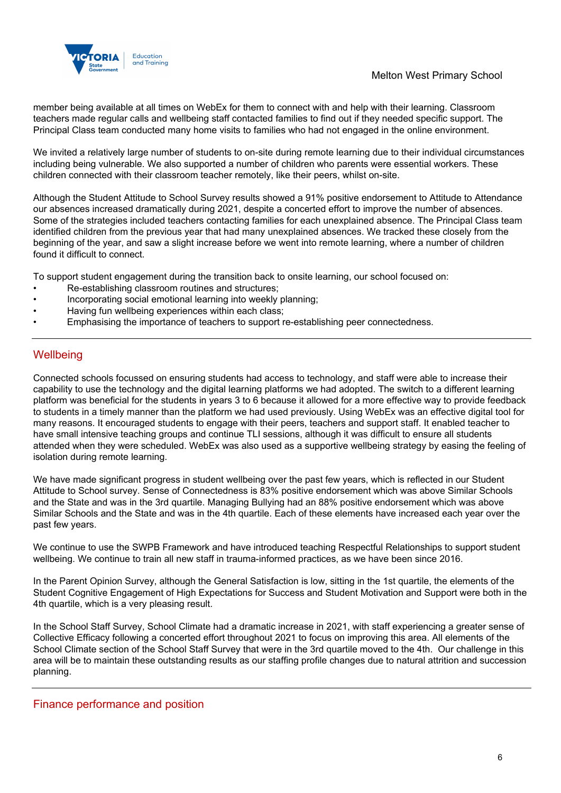

member being available at all times on WebEx for them to connect with and help with their learning. Classroom teachers made regular calls and wellbeing staff contacted families to find out if they needed specific support. The Principal Class team conducted many home visits to families who had not engaged in the online environment.

We invited a relatively large number of students to on-site during remote learning due to their individual circumstances including being vulnerable. We also supported a number of children who parents were essential workers. These children connected with their classroom teacher remotely, like their peers, whilst on-site.

Although the Student Attitude to School Survey results showed a 91% positive endorsement to Attitude to Attendance our absences increased dramatically during 2021, despite a concerted effort to improve the number of absences. Some of the strategies included teachers contacting families for each unexplained absence. The Principal Class team identified children from the previous year that had many unexplained absences. We tracked these closely from the beginning of the year, and saw a slight increase before we went into remote learning, where a number of children found it difficult to connect.

To support student engagement during the transition back to onsite learning, our school focused on:

- Re-establishing classroom routines and structures;
- Incorporating social emotional learning into weekly planning;
- Having fun wellbeing experiences within each class;
- Emphasising the importance of teachers to support re-establishing peer connectedness.

### **Wellbeing**

Connected schools focussed on ensuring students had access to technology, and staff were able to increase their capability to use the technology and the digital learning platforms we had adopted. The switch to a different learning platform was beneficial for the students in years 3 to 6 because it allowed for a more effective way to provide feedback to students in a timely manner than the platform we had used previously. Using WebEx was an effective digital tool for many reasons. It encouraged students to engage with their peers, teachers and support staff. It enabled teacher to have small intensive teaching groups and continue TLI sessions, although it was difficult to ensure all students attended when they were scheduled. WebEx was also used as a supportive wellbeing strategy by easing the feeling of isolation during remote learning.

We have made significant progress in student wellbeing over the past few years, which is reflected in our Student Attitude to School survey. Sense of Connectedness is 83% positive endorsement which was above Similar Schools and the State and was in the 3rd quartile. Managing Bullying had an 88% positive endorsement which was above Similar Schools and the State and was in the 4th quartile. Each of these elements have increased each year over the past few years.

We continue to use the SWPB Framework and have introduced teaching Respectful Relationships to support student wellbeing. We continue to train all new staff in trauma-informed practices, as we have been since 2016.

In the Parent Opinion Survey, although the General Satisfaction is low, sitting in the 1st quartile, the elements of the Student Cognitive Engagement of High Expectations for Success and Student Motivation and Support were both in the 4th quartile, which is a very pleasing result.

In the School Staff Survey, School Climate had a dramatic increase in 2021, with staff experiencing a greater sense of Collective Efficacy following a concerted effort throughout 2021 to focus on improving this area. All elements of the School Climate section of the School Staff Survey that were in the 3rd quartile moved to the 4th. Our challenge in this area will be to maintain these outstanding results as our staffing profile changes due to natural attrition and succession planning.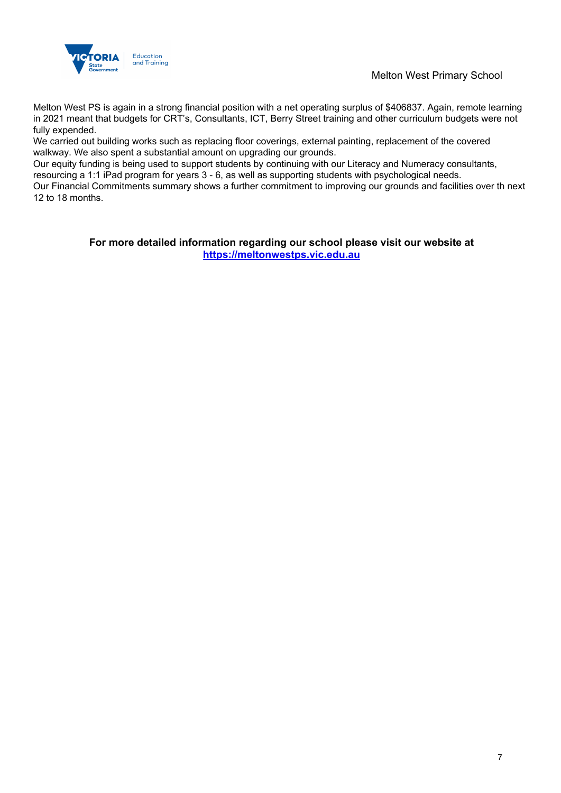

Melton West Primary School

Melton West PS is again in a strong financial position with a net operating surplus of \$406837. Again, remote learning in 2021 meant that budgets for CRT's, Consultants, ICT, Berry Street training and other curriculum budgets were not fully expended.

We carried out building works such as replacing floor coverings, external painting, replacement of the covered walkway. We also spent a substantial amount on upgrading our grounds.

Our equity funding is being used to support students by continuing with our Literacy and Numeracy consultants, resourcing a 1:1 iPad program for years 3 - 6, as well as supporting students with psychological needs.

Our Financial Commitments summary shows a further commitment to improving our grounds and facilities over th next 12 to 18 months.

> **For more detailed information regarding our school please visit our website at https://meltonwestps.vic.edu.au**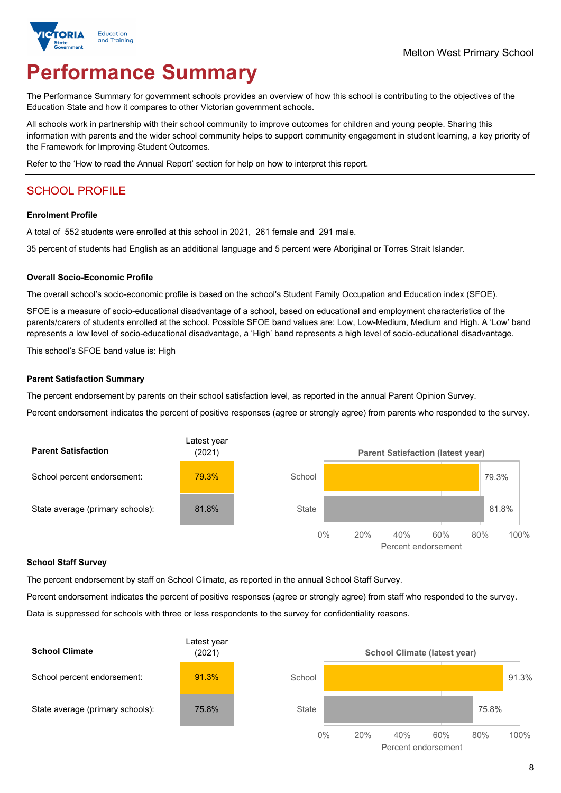

# **Performance Summary**

The Performance Summary for government schools provides an overview of how this school is contributing to the objectives of the Education State and how it compares to other Victorian government schools.

All schools work in partnership with their school community to improve outcomes for children and young people. Sharing this information with parents and the wider school community helps to support community engagement in student learning, a key priority of the Framework for Improving Student Outcomes.

Refer to the 'How to read the Annual Report' section for help on how to interpret this report.

## SCHOOL PROFILE

#### **Enrolment Profile**

A total of 552 students were enrolled at this school in 2021, 261 female and 291 male.

35 percent of students had English as an additional language and 5 percent were Aboriginal or Torres Strait Islander.

#### **Overall Socio-Economic Profile**

The overall school's socio-economic profile is based on the school's Student Family Occupation and Education index (SFOE).

SFOE is a measure of socio-educational disadvantage of a school, based on educational and employment characteristics of the parents/carers of students enrolled at the school. Possible SFOE band values are: Low, Low-Medium, Medium and High. A 'Low' band represents a low level of socio-educational disadvantage, a 'High' band represents a high level of socio-educational disadvantage.

This school's SFOE band value is: High

#### **Parent Satisfaction Summary**

The percent endorsement by parents on their school satisfaction level, as reported in the annual Parent Opinion Survey.

Percent endorsement indicates the percent of positive responses (agree or strongly agree) from parents who responded to the survey.



#### **School Staff Survey**

The percent endorsement by staff on School Climate, as reported in the annual School Staff Survey.

Percent endorsement indicates the percent of positive responses (agree or strongly agree) from staff who responded to the survey.

Data is suppressed for schools with three or less respondents to the survey for confidentiality reasons.

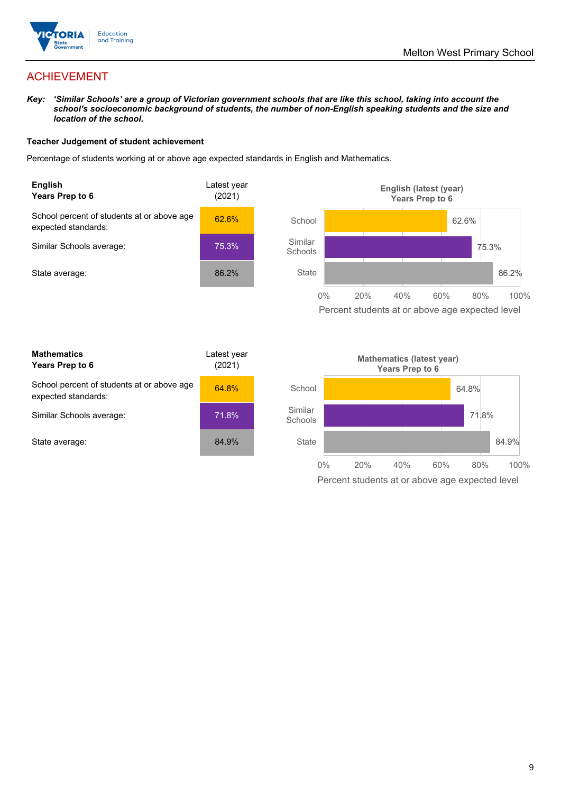

## ACHIEVEMENT

*Key: 'Similar Schools' are a group of Victorian government schools that are like this school, taking into account the school's socioeconomic background of students, the number of non-English speaking students and the size and location of the school.* 

#### **Teacher Judgement of student achievement**

Percentage of students working at or above age expected standards in English and Mathematics.



Percent students at or above age expected level

| <b>Mathematics</b><br>Years Prep to 6                             | Latest year<br>(2021) |
|-------------------------------------------------------------------|-----------------------|
| School percent of students at or above age<br>expected standards: | 64.8%                 |
| Similar Schools average:                                          | 71.8%                 |
| State average:                                                    | 84.9%                 |

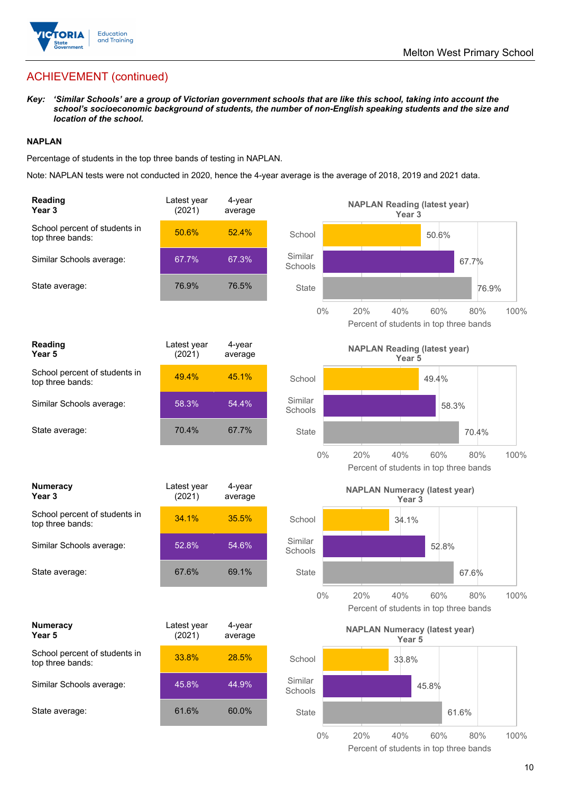

## ACHIEVEMENT (continued)

*Key: 'Similar Schools' are a group of Victorian government schools that are like this school, taking into account the school's socioeconomic background of students, the number of non-English speaking students and the size and location of the school.* 

#### **NAPLAN**

Percentage of students in the top three bands of testing in NAPLAN.

Note: NAPLAN tests were not conducted in 2020, hence the 4-year average is the average of 2018, 2019 and 2021 data.

| <b>Reading</b><br>Year <sub>3</sub>               | Latest year<br>(2021) | $4$ -year<br>average |                    | <b>NAPLAN Reading (latest year)</b><br>Year <sub>3</sub>                   |
|---------------------------------------------------|-----------------------|----------------------|--------------------|----------------------------------------------------------------------------|
| School percent of students in<br>top three bands: | 50.6%                 | 52.4%                | School             | 50.6%                                                                      |
| Similar Schools average:                          | 67.7%                 | 67.3%                | Similar<br>Schools | 67.7%                                                                      |
| State average:                                    | 76.9%                 | 76.5%                | State              | 76.9%                                                                      |
|                                                   |                       |                      | $0\%$              | 20%<br>40%<br>60%<br>80%<br>100%<br>Percent of students in top three bands |
| Reading<br>Year 5                                 | Latest year<br>(2021) | 4-year<br>average    |                    | <b>NAPLAN Reading (latest year)</b><br>Year 5                              |
| School percent of students in<br>top three bands: | 49.4%                 | 45.1%                | School             | 49.4%                                                                      |
| Similar Schools average:                          | 58.3%                 | 54.4%                | Similar<br>Schools | 58.3%                                                                      |
| State average:                                    | 70.4%                 | 67.7%                | <b>State</b>       | 70.4%                                                                      |
|                                                   |                       |                      | $0\%$              | 20%<br>40%<br>60%<br>80%<br>100%<br>Percent of students in top three bands |
| <b>Numeracy</b><br>Year <sub>3</sub>              | Latest year<br>(2021) | 4-year<br>average    |                    | <b>NAPLAN Numeracy (latest year)</b><br>Year <sub>3</sub>                  |
| School percent of students in<br>top three bands: | 34.1%                 | 35.5%                | School             | 34.1%                                                                      |
| Similar Schools average:                          | 52.8%                 | 54.6%                | Similar            |                                                                            |
|                                                   |                       |                      | Schools            | 52.8%                                                                      |
| State average:                                    | 67.6%                 | 69.1%                | <b>State</b>       | 67.6%                                                                      |
|                                                   |                       |                      | $0\%$              | 40%<br>60%<br>100%<br>20%<br>80%<br>Percent of students in top three bands |
| <b>Numeracy</b><br>Year 5                         | Latest year<br>(2021) | 4-year<br>average    |                    | <b>NAPLAN Numeracy (latest year)</b><br>Year 5                             |
| School percent of students in<br>top three bands: | 33.8%                 | 28.5%                | School             | 33.8%                                                                      |
| Similar Schools average:                          | 45.8%                 | 44.9%                | Similar<br>Schools | 45.8%                                                                      |
| State average:                                    | 61.6%                 | 60.0%                | State              | 61.6%                                                                      |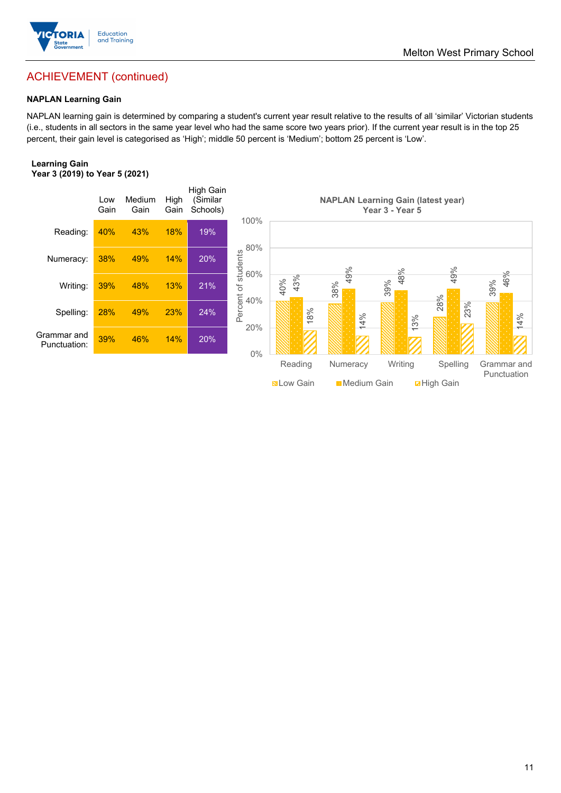

## ACHIEVEMENT (continued)

#### **NAPLAN Learning Gain**

NAPLAN learning gain is determined by comparing a student's current year result relative to the results of all 'similar' Victorian students (i.e., students in all sectors in the same year level who had the same score two years prior). If the current year result is in the top 25 percent, their gain level is categorised as 'High'; middle 50 percent is 'Medium'; bottom 25 percent is 'Low'.

#### **Learning Gain Year 3 (2019) to Year 5 (2021)**



Melton West Primary School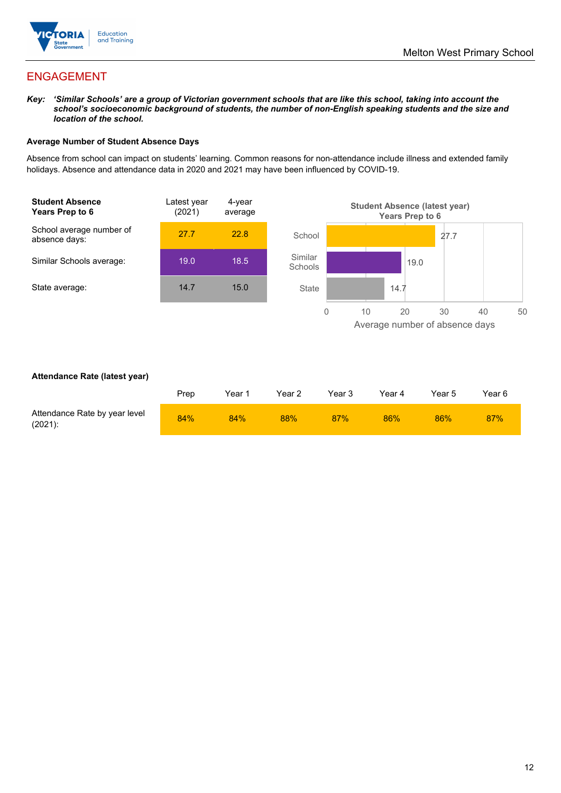

## ENGAGEMENT

*Key: 'Similar Schools' are a group of Victorian government schools that are like this school, taking into account the school's socioeconomic background of students, the number of non-English speaking students and the size and location of the school.* 

#### **Average Number of Student Absence Days**

Absence from school can impact on students' learning. Common reasons for non-attendance include illness and extended family holidays. Absence and attendance data in 2020 and 2021 may have been influenced by COVID-19.



#### **Attendance Rate (latest year)**

|                                             | Prep | Year 1 | Year 2 | Year 3 | Year 4 | Year 5 | Year 6 |
|---------------------------------------------|------|--------|--------|--------|--------|--------|--------|
| Attendance Rate by year level<br>$(2021)$ : | 84%  | 84%    | 88%    | 87%    | 86%    | 86%    | 87%    |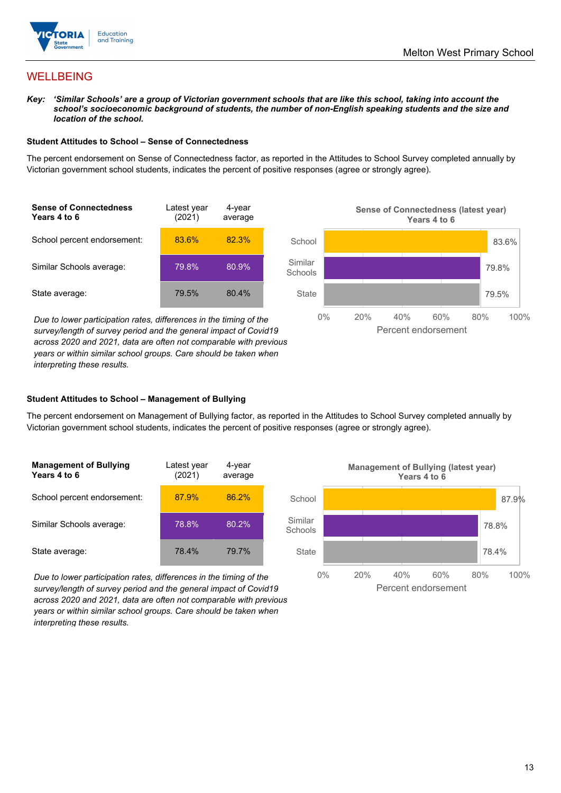

## WELLBEING

*Key: 'Similar Schools' are a group of Victorian government schools that are like this school, taking into account the*  school's socioeconomic background of students, the number of non-English speaking students and the size and *location of the school.* 

#### **Student Attitudes to School – Sense of Connectedness**

The percent endorsement on Sense of Connectedness factor, as reported in the Attitudes to School Survey completed annually by Victorian government school students, indicates the percent of positive responses (agree or strongly agree).



*Due to lower participation rates, differences in the timing of the survey/length of survey period and the general impact of Covid19 across 2020 and 2021, data are often not comparable with previous years or within similar school groups. Care should be taken when interpreting these results.*



#### **Student Attitudes to School – Management of Bullying**

The percent endorsement on Management of Bullying factor, as reported in the Attitudes to School Survey completed annually by Victorian government school students, indicates the percent of positive responses (agree or strongly agree).

| <b>Management of Bullying</b><br>Years 4 to 6 | Latest year<br>(2021) | 4-year<br>average |  |
|-----------------------------------------------|-----------------------|-------------------|--|
| School percent endorsement:                   | 87.9%                 | 86.2%             |  |
| Similar Schools average:                      | 78.8%                 | 80.2%             |  |
| State average:                                | 78.4%                 | 79.7%             |  |

*Due to lower participation rates, differences in the timing of the survey/length of survey period and the general impact of Covid19 across 2020 and 2021, data are often not comparable with previous years or within similar school groups. Care should be taken when interpreting these results.* 

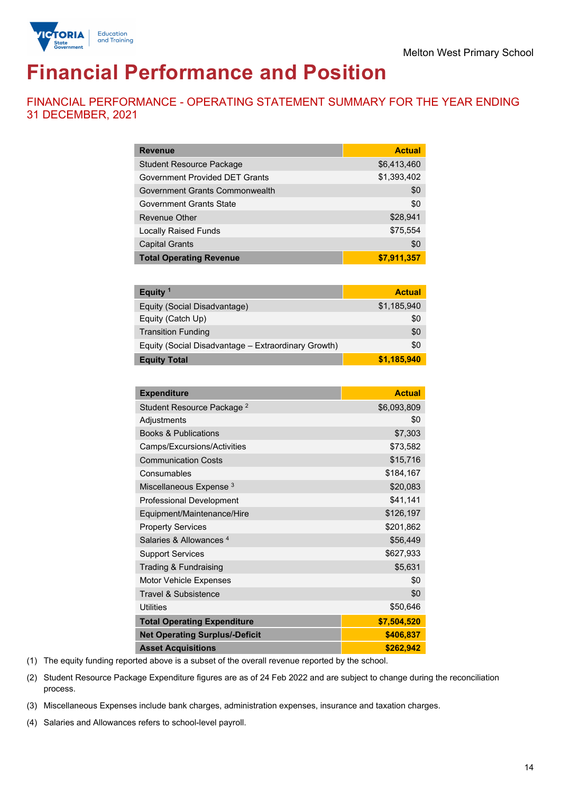

# **Financial Performance and Position**

FINANCIAL PERFORMANCE - OPERATING STATEMENT SUMMARY FOR THE YEAR ENDING 31 DECEMBER, 2021

| <b>Revenue</b>                        | <b>Actual</b> |
|---------------------------------------|---------------|
| <b>Student Resource Package</b>       | \$6,413,460   |
| <b>Government Provided DET Grants</b> | \$1,393,402   |
| Government Grants Commonwealth        | \$0           |
| Government Grants State               | \$0           |
| Revenue Other                         | \$28,941      |
| <b>Locally Raised Funds</b>           | \$75,554      |
| <b>Capital Grants</b>                 | \$0           |
| <b>Total Operating Revenue</b>        | \$7,911,357   |

| Equity <sup>1</sup>                                 | <b>Actual</b> |
|-----------------------------------------------------|---------------|
| Equity (Social Disadvantage)                        | \$1,185,940   |
| Equity (Catch Up)                                   | \$0           |
| <b>Transition Funding</b>                           | \$0           |
| Equity (Social Disadvantage - Extraordinary Growth) | \$0           |
| <b>Equity Total</b>                                 | \$1,185,940   |

| <b>Expenditure</b>                    | <b>Actual</b> |
|---------------------------------------|---------------|
| Student Resource Package <sup>2</sup> | \$6,093,809   |
| Adjustments                           | \$0           |
| <b>Books &amp; Publications</b>       | \$7,303       |
| Camps/Excursions/Activities           | \$73,582      |
| <b>Communication Costs</b>            | \$15,716      |
| Consumables                           | \$184,167     |
| Miscellaneous Expense <sup>3</sup>    | \$20,083      |
| <b>Professional Development</b>       | \$41,141      |
| Equipment/Maintenance/Hire            | \$126,197     |
| <b>Property Services</b>              | \$201,862     |
| Salaries & Allowances <sup>4</sup>    | \$56,449      |
| <b>Support Services</b>               | \$627,933     |
| Trading & Fundraising                 | \$5,631       |
| Motor Vehicle Expenses                | \$0           |
| Travel & Subsistence                  | \$0           |
| <b>Utilities</b>                      | \$50,646      |
| <b>Total Operating Expenditure</b>    | \$7,504,520   |
| <b>Net Operating Surplus/-Deficit</b> | \$406,837     |
| <b>Asset Acquisitions</b>             | \$262,942     |

(1) The equity funding reported above is a subset of the overall revenue reported by the school.

(2) Student Resource Package Expenditure figures are as of 24 Feb 2022 and are subject to change during the reconciliation process.

(3) Miscellaneous Expenses include bank charges, administration expenses, insurance and taxation charges.

(4) Salaries and Allowances refers to school-level payroll.